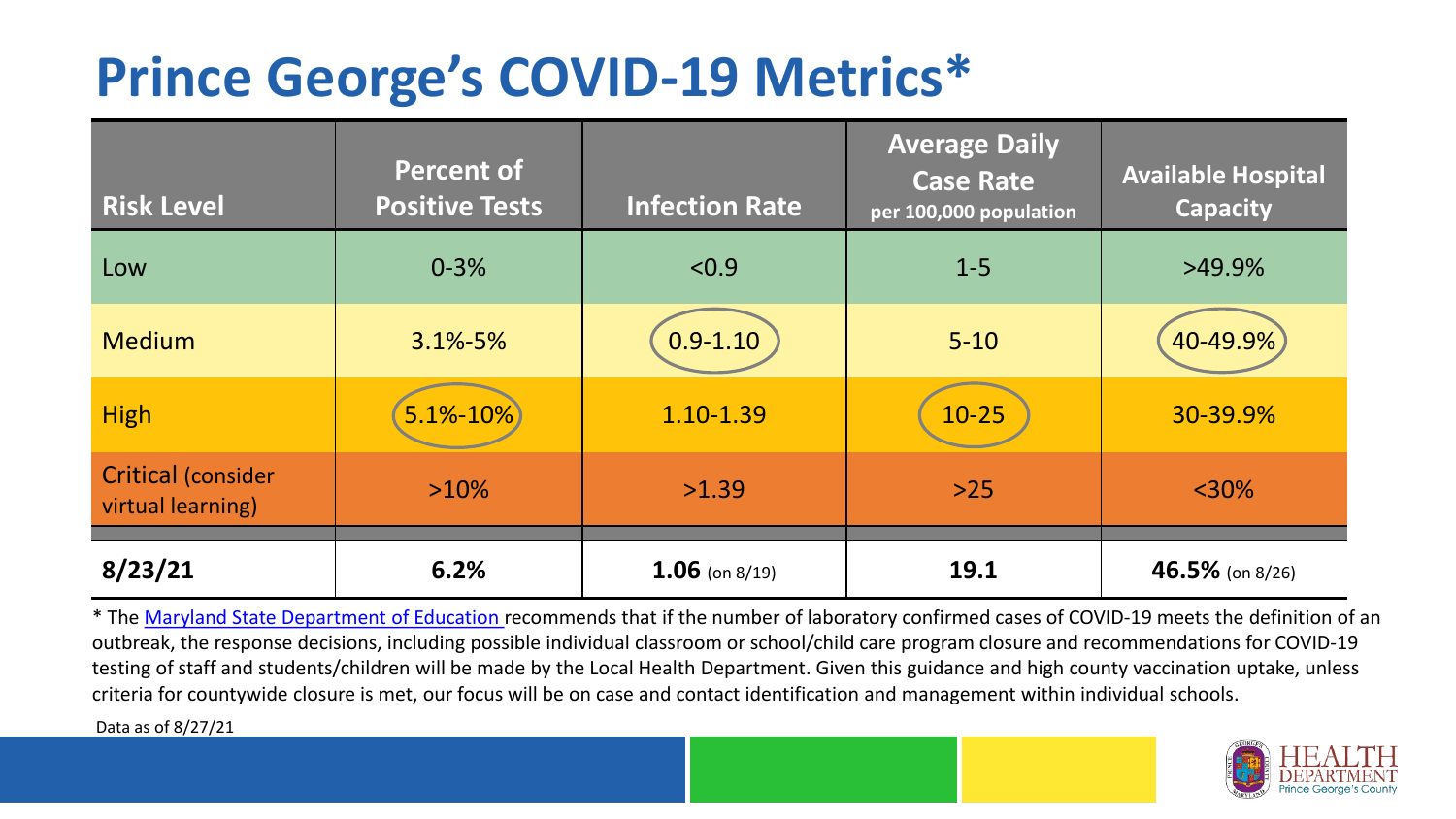## **Prince George's COVID-19 Metrics\***

| <b>Risk Level</b>                              | <b>Percent of</b><br><b>Positive Tests</b> | <b>Infection Rate</b> | <b>Average Daily</b><br><b>Case Rate</b><br>per 100,000 population | <b>Available Hospital</b><br><b>Capacity</b> |
|------------------------------------------------|--------------------------------------------|-----------------------|--------------------------------------------------------------------|----------------------------------------------|
| Low                                            | $0 - 3%$                                   | < 0.9                 | $1 - 5$                                                            | $>49.9\%$                                    |
| <b>Medium</b>                                  | $3.1\% - 5\%$                              | $0.9 - 1.10$          | $5 - 10$                                                           | 40-49.9%                                     |
| <b>High</b>                                    | $5.1\% - 10\%$                             | 1.10-1.39             | $10 - 25$                                                          | 30-39.9%                                     |
| <b>Critical (consider</b><br>virtual learning) | $>10\%$                                    | >1.39                 | $>25$                                                              | $<$ 30%                                      |
| 8/23/21                                        | 6.2%                                       | $1.06$ (on 8/19)      | 19.1                                                               | $46.5\%$ (on 8/26)                           |

\* The [Maryland State Department of Education r](https://earlychildhood.marylandpublicschools.org/system/files/filedepot/3/covid_guidance_full_080420.pdf)ecommends that if the number of laboratory confirmed cases of COVID-19 meets the definition of an outbreak, the response decisions, including possible individual classroom or school/child care program closure and recommendations for COVID-19 testing of staff and students/children will be made by the Local Health Department. Given this guidance and high county vaccination uptake, unless criteria for countywide closure is met, our focus will be on case and contact identification and management within individual schools.

Data as of 8/27/21

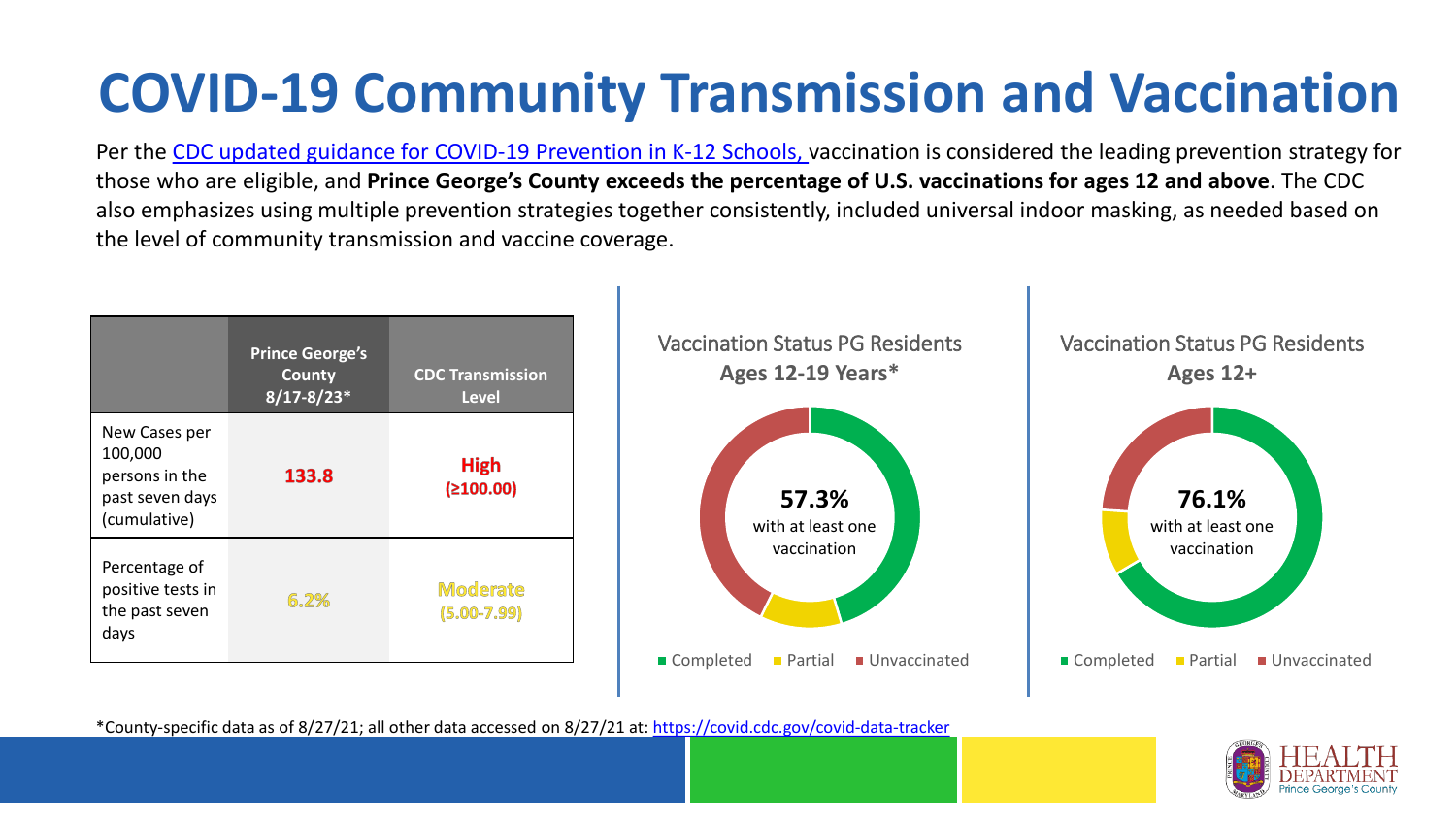# **COVID-19 Community Transmission and Vaccination**

Per the [CDC updated guidance for COVID-19 Prevention in K-12 Schools,](https://www.cdc.gov/coronavirus/2019-ncov/community/schools-childcare/k-12-guidance.html) vaccination is considered the leading prevention strategy for those who are eligible, and **Prince George's County exceeds the percentage of U.S. vaccinations for ages 12 and above**. The CDC also emphasizes using multiple prevention strategies together consistently, included universal indoor masking, as needed based on the level of community transmission and vaccine coverage.



\*County-specific data as of 8/27/21; all other data accessed on 8/27/21 at:<https://covid.cdc.gov/covid-data-tracker>

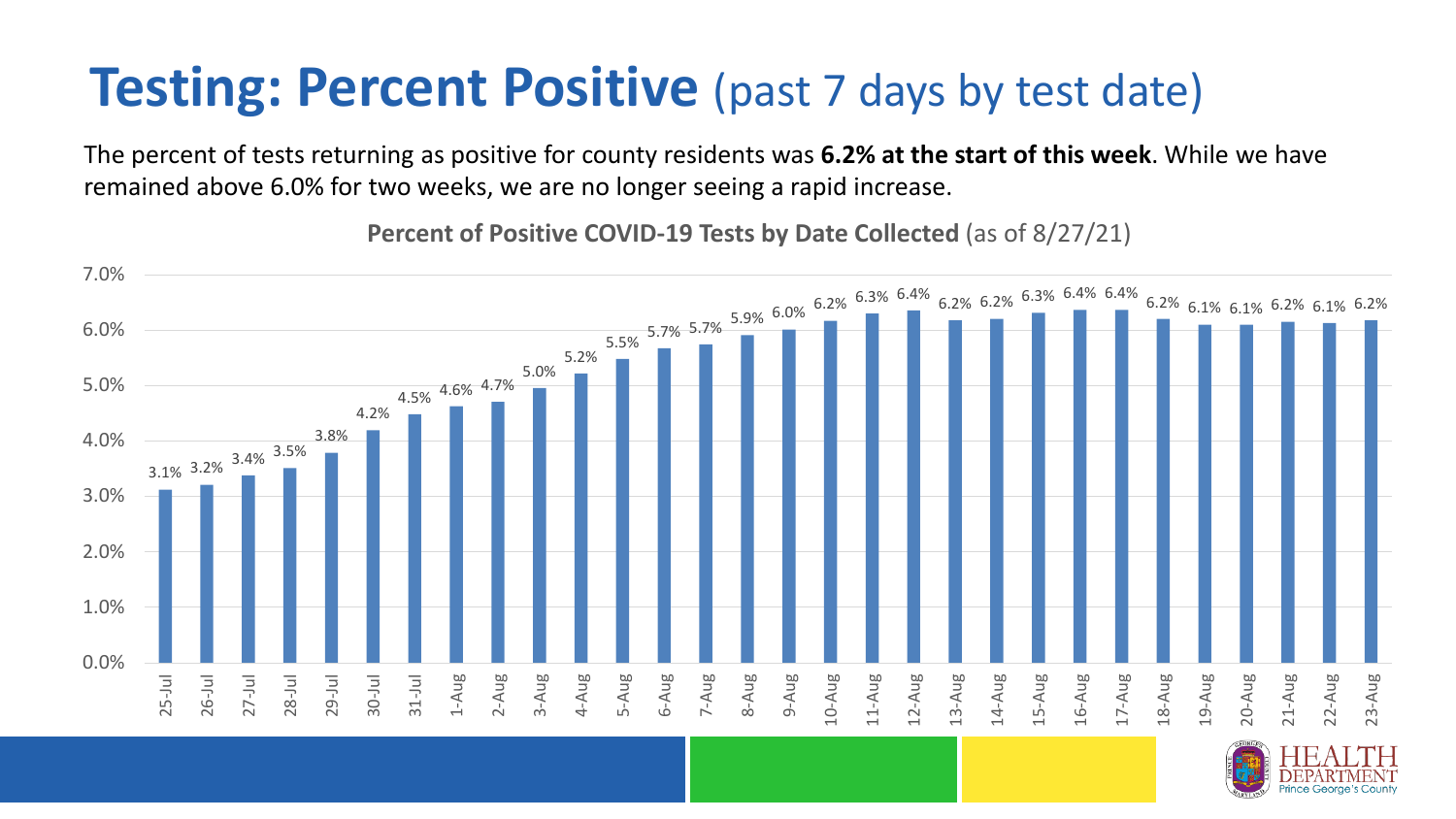### **Testing: Percent Positive** (past 7 days by test date)

The percent of tests returning as positive for county residents was **6.2% at the start of this week**. While we have remained above 6.0% for two weeks, we are no longer seeing a rapid increase.

3.1% 3.2% 3.4% 3.5% 3.8% 4.2% 4.5% 4.6% 4.7% 5.0% 5.2%  $5.7\%$  5.7%  $5.7\%$   $5.9\%$  6.0%  $6.2\%$   $6.3\%$   $6.2\%$   $6.2\%$   $6.3\%$   $6.4\%$   $6.4\%$   $6.2\%$   $6.1\%$   $6.1\%$   $6.2\%$   $6.1\%$   $6.2\%$   $6.1\%$   $6.2\%$   $6.1\%$   $6.2\%$   $6.1\%$   $6.2\%$   $6.1\%$   $6.2\%$   $6.1\%$   $6.2\%$   $6.$ 0.0% 1.0% 2.0% 3.0% 4.0% 5.0% 6.0% 7.0% 25-Jul 26-Jul 27-Jul 28-Jul 29-Jul 30-Jul 31-Jul 1-Aug 2-Aug 3-Aug 4-Aug 5-Aug 6-Aug 7-Aug 8-Aug 9-Aug 10-Aug 11-Aug 12-Aug 13-Aug 14-Aug 15-Aug 16-Aug 17-Aug 18-Aug 19-Aug 20-Aug 21-Aug 22-Aug 23-Aug

**Percent of Positive COVID-19 Tests by Date Collected** (as of 8/27/21)

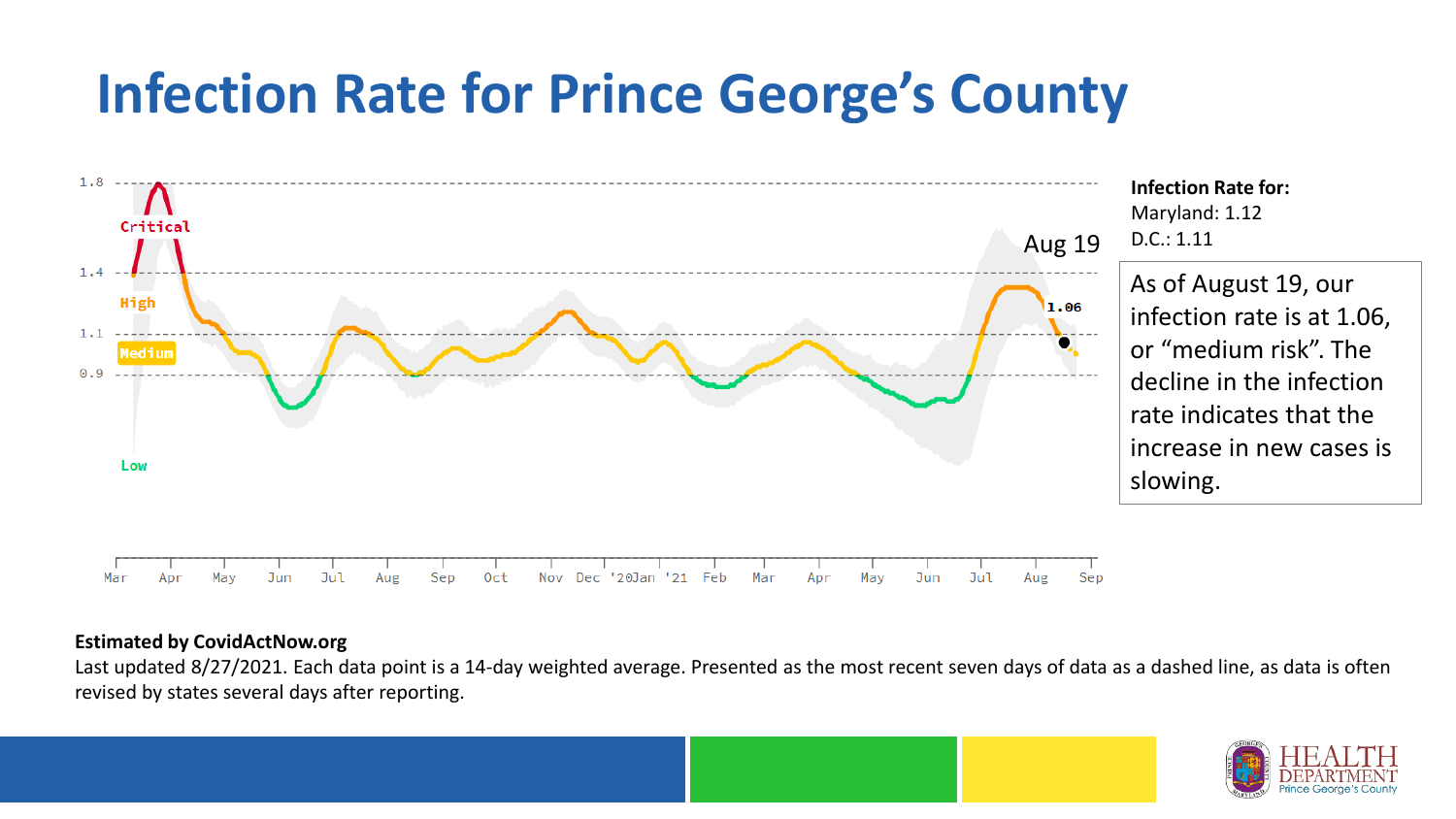## **Infection Rate for Prince George's County**



#### **Estimated by CovidActNow.org**

Last updated 8/27/2021. Each data point is a 14-day weighted average. Presented as the most recent seven days of data as a dashed line, as data is often revised by states several days after reporting.

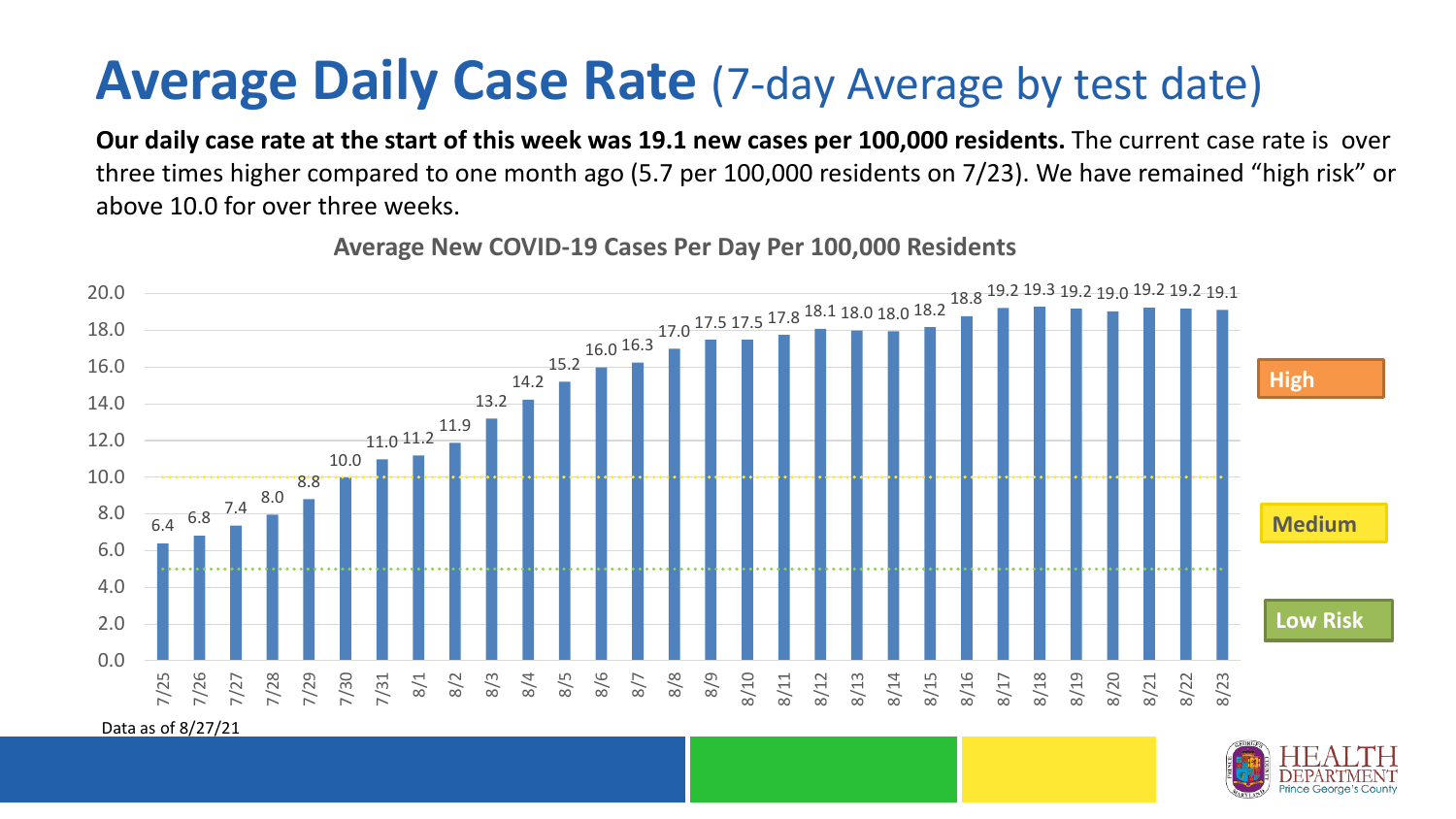### **Average Daily Case Rate** (7-day Average by test date)

**Our daily case rate at the start of this week was 19.1 new cases per 100,000 residents.** The current case rate is over three times higher compared to one month ago (5.7 per 100,000 residents on 7/23). We have remained "high risk" or above 10.0 for over three weeks.



**Average New COVID-19 Cases Per Day Per 100,000 Residents**

Data as of 8/27/21